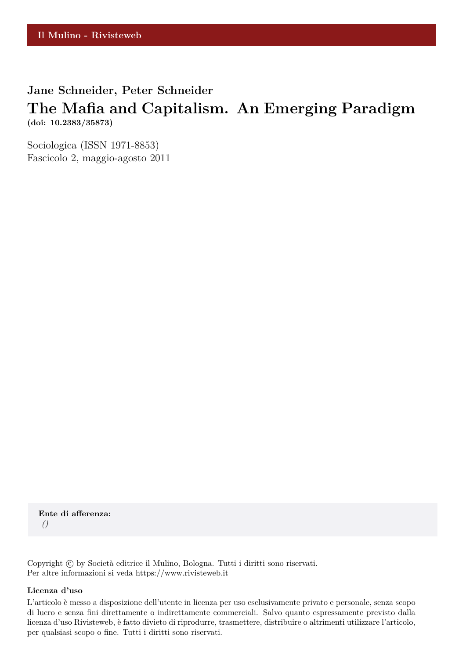# **Jane Schneider, Peter Schneider**

## **The Mafia and Capitalism. An Emerging Paradigm (doi: 10.2383/35873)**

Sociologica (ISSN 1971-8853) Fascicolo 2, maggio-agosto 2011

**Ente di afferenza:** *()*

Copyright © by Società editrice il Mulino, Bologna. Tutti i diritti sono riservati. Per altre informazioni si veda https://www.rivisteweb.it

#### **Licenza d'uso**

L'articolo è messo a disposizione dell'utente in licenza per uso esclusivamente privato e personale, senza scopo di lucro e senza fini direttamente o indirettamente commerciali. Salvo quanto espressamente previsto dalla licenza d'uso Rivisteweb, è fatto divieto di riprodurre, trasmettere, distribuire o altrimenti utilizzare l'articolo, per qualsiasi scopo o fine. Tutti i diritti sono riservati.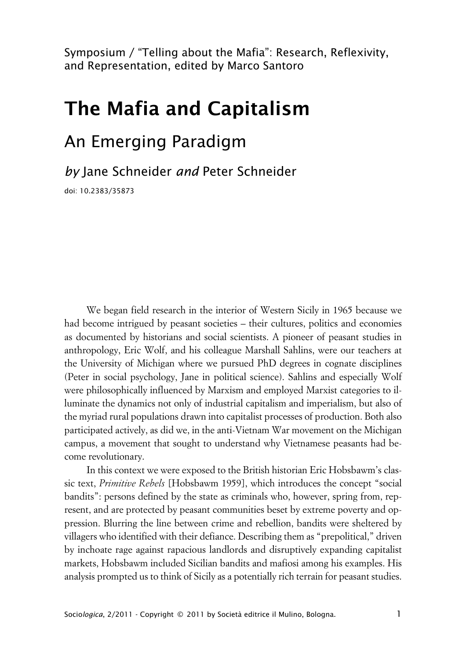Symposium / "Telling about the Mafia": Research, Reflexivity, and Representation, edited by Marco Santoro

# **The Mafia and Capitalism**

# An Emerging Paradigm

*by* Jane Schneider *and* Peter Schneider

doi: 10.2383/35873

We began field research in the interior of Western Sicily in 1965 because we had become intrigued by peasant societies – their cultures, politics and economies as documented by historians and social scientists. A pioneer of peasant studies in anthropology, Eric Wolf, and his colleague Marshall Sahlins, were our teachers at the University of Michigan where we pursued PhD degrees in cognate disciplines (Peter in social psychology, Jane in political science). Sahlins and especially Wolf were philosophically influenced by Marxism and employed Marxist categories to illuminate the dynamics not only of industrial capitalism and imperialism, but also of the myriad rural populations drawn into capitalist processes of production. Both also participated actively, as did we, in the anti-Vietnam War movement on the Michigan campus, a movement that sought to understand why Vietnamese peasants had become revolutionary.

In this context we were exposed to the British historian Eric Hobsbawm's classic text, *Primitive Rebels* [Hobsbawm 1959], which introduces the concept "social bandits": persons defined by the state as criminals who, however, spring from, represent, and are protected by peasant communities beset by extreme poverty and oppression. Blurring the line between crime and rebellion, bandits were sheltered by villagers who identified with their defiance. Describing them as "prepolitical," driven by inchoate rage against rapacious landlords and disruptively expanding capitalist markets, Hobsbawm included Sicilian bandits and mafiosi among his examples. His analysis prompted us to think of Sicily as a potentially rich terrain for peasant studies.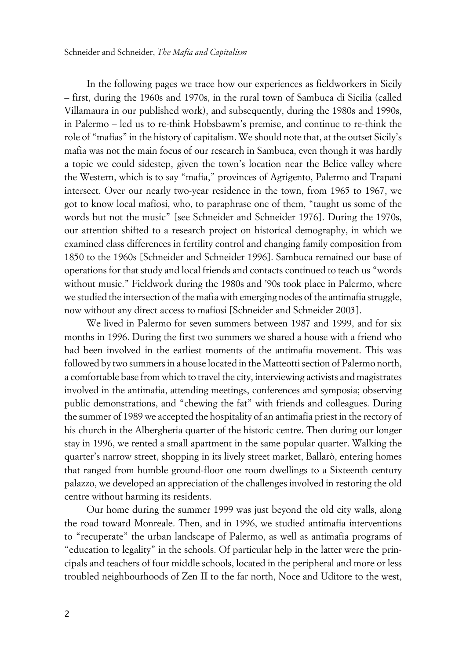In the following pages we trace how our experiences as fieldworkers in Sicily – first, during the 1960s and 1970s, in the rural town of Sambuca di Sicilia (called Villamaura in our published work), and subsequently, during the 1980s and 1990s, in Palermo – led us to re-think Hobsbawm's premise, and continue to re-think the role of "mafias" in the history of capitalism. We should note that, at the outset Sicily's mafia was not the main focus of our research in Sambuca, even though it was hardly a topic we could sidestep, given the town's location near the Belice valley where the Western, which is to say "mafia," provinces of Agrigento, Palermo and Trapani intersect. Over our nearly two-year residence in the town, from 1965 to 1967, we got to know local mafiosi, who, to paraphrase one of them, "taught us some of the words but not the music" [see Schneider and Schneider 1976]. During the 1970s, our attention shifted to a research project on historical demography, in which we examined class differences in fertility control and changing family composition from 1850 to the 1960s [Schneider and Schneider 1996]. Sambuca remained our base of operations for that study and local friends and contacts continued to teach us "words without music." Fieldwork during the 1980s and '90s took place in Palermo, where we studied the intersection of the mafia with emerging nodes of the antimafia struggle, now without any direct access to mafiosi [Schneider and Schneider 2003].

We lived in Palermo for seven summers between 1987 and 1999, and for six months in 1996. During the first two summers we shared a house with a friend who had been involved in the earliest moments of the antimafia movement. This was followed by two summers in a house located in the Matteotti section of Palermo north, a comfortable base from which to travel the city, interviewing activists and magistrates involved in the antimafia, attending meetings, conferences and symposia; observing public demonstrations, and "chewing the fat" with friends and colleagues. During the summer of 1989 we accepted the hospitality of an antimafia priest in the rectory of his church in the Albergheria quarter of the historic centre. Then during our longer stay in 1996, we rented a small apartment in the same popular quarter. Walking the quarter's narrow street, shopping in its lively street market, Ballarò, entering homes that ranged from humble ground-floor one room dwellings to a Sixteenth century palazzo, we developed an appreciation of the challenges involved in restoring the old centre without harming its residents.

Our home during the summer 1999 was just beyond the old city walls, along the road toward Monreale. Then, and in 1996, we studied antimafia interventions to "recuperate" the urban landscape of Palermo, as well as antimafia programs of "education to legality" in the schools. Of particular help in the latter were the principals and teachers of four middle schools, located in the peripheral and more or less troubled neighbourhoods of Zen II to the far north, Noce and Uditore to the west,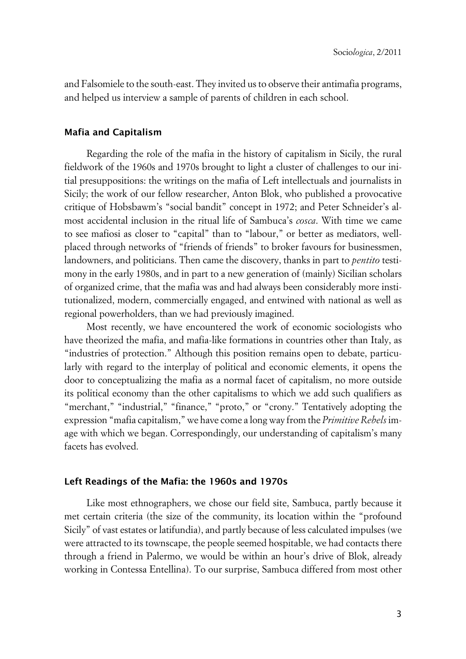and Falsomiele to the south-east. They invited us to observe their antimafia programs, and helped us interview a sample of parents of children in each school.

## **xMafia and Capitalism**

Regarding the role of the mafia in the history of capitalism in Sicily, the rural fieldwork of the 1960s and 1970s brought to light a cluster of challenges to our initial presuppositions: the writings on the mafia of Left intellectuals and journalists in Sicily; the work of our fellow researcher, Anton Blok, who published a provocative critique of Hobsbawm's "social bandit" concept in 1972; and Peter Schneider's almost accidental inclusion in the ritual life of Sambuca's *cosca*. With time we came to see mafiosi as closer to "capital" than to "labour," or better as mediators, wellplaced through networks of "friends of friends" to broker favours for businessmen, landowners, and politicians. Then came the discovery, thanks in part to *pentito* testimony in the early 1980s, and in part to a new generation of (mainly) Sicilian scholars of organized crime, that the mafia was and had always been considerably more institutionalized, modern, commercially engaged, and entwined with national as well as regional powerholders, than we had previously imagined.

Most recently, we have encountered the work of economic sociologists who have theorized the mafia, and mafia-like formations in countries other than Italy, as "industries of protection." Although this position remains open to debate, particularly with regard to the interplay of political and economic elements, it opens the door to conceptualizing the mafia as a normal facet of capitalism, no more outside its political economy than the other capitalisms to which we add such qualifiers as "merchant," "industrial," "finance," "proto," or "crony." Tentatively adopting the expression "mafia capitalism," we have come a long way from the *Primitive Rebels* image with which we began. Correspondingly, our understanding of capitalism's many facets has evolved.

### **xLeft Readings of the Mafia: the 1960s and 1970s**

Like most ethnographers, we chose our field site, Sambuca, partly because it met certain criteria (the size of the community, its location within the "profound Sicily" of vast estates or latifundia), and partly because of less calculated impulses (we were attracted to its townscape, the people seemed hospitable, we had contacts there through a friend in Palermo, we would be within an hour's drive of Blok, already working in Contessa Entellina). To our surprise, Sambuca differed from most other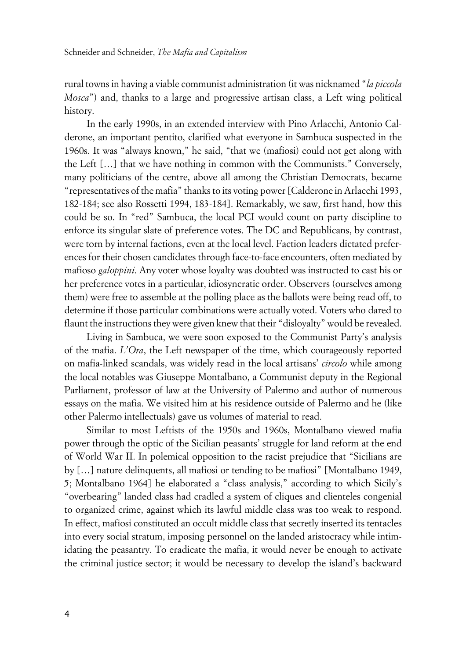rural towns in having a viable communist administration (it was nicknamed "*la piccola Mosca*") and, thanks to a large and progressive artisan class, a Left wing political history.

In the early 1990s, in an extended interview with Pino Arlacchi, Antonio Calderone, an important pentito, clarified what everyone in Sambuca suspected in the 1960s. It was "always known," he said, "that we (mafiosi) could not get along with the Left […] that we have nothing in common with the Communists." Conversely, many politicians of the centre, above all among the Christian Democrats, became "representatives of the mafia" thanks to its voting power [Calderone in Arlacchi 1993, 182-184; see also Rossetti 1994, 183-184]. Remarkably, we saw, first hand, how this could be so. In "red" Sambuca, the local PCI would count on party discipline to enforce its singular slate of preference votes. The DC and Republicans, by contrast, were torn by internal factions, even at the local level. Faction leaders dictated preferences for their chosen candidates through face-to-face encounters, often mediated by mafioso *galoppini*. Any voter whose loyalty was doubted was instructed to cast his or her preference votes in a particular, idiosyncratic order. Observers (ourselves among them) were free to assemble at the polling place as the ballots were being read off, to determine if those particular combinations were actually voted. Voters who dared to flaunt the instructions they were given knew that their "disloyalty" would be revealed.

Living in Sambuca, we were soon exposed to the Communist Party's analysis of the mafia. *L'Ora*, the Left newspaper of the time, which courageously reported on mafia-linked scandals, was widely read in the local artisans' *circolo* while among the local notables was Giuseppe Montalbano, a Communist deputy in the Regional Parliament, professor of law at the University of Palermo and author of numerous essays on the mafia. We visited him at his residence outside of Palermo and he (like other Palermo intellectuals) gave us volumes of material to read.

Similar to most Leftists of the 1950s and 1960s, Montalbano viewed mafia power through the optic of the Sicilian peasants' struggle for land reform at the end of World War II. In polemical opposition to the racist prejudice that "Sicilians are by […] nature delinquents, all mafiosi or tending to be mafiosi" [Montalbano 1949, 5; Montalbano 1964] he elaborated a "class analysis," according to which Sicily's "overbearing" landed class had cradled a system of cliques and clienteles congenial to organized crime, against which its lawful middle class was too weak to respond. In effect, mafiosi constituted an occult middle class that secretly inserted its tentacles into every social stratum, imposing personnel on the landed aristocracy while intimidating the peasantry. To eradicate the mafia, it would never be enough to activate the criminal justice sector; it would be necessary to develop the island's backward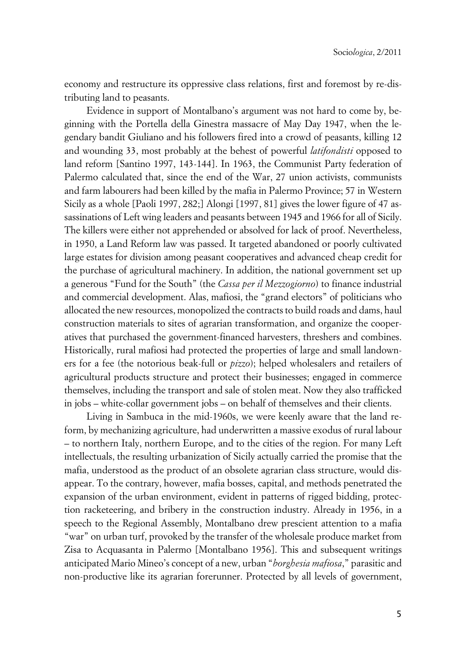economy and restructure its oppressive class relations, first and foremost by re-distributing land to peasants.

Evidence in support of Montalbano's argument was not hard to come by, beginning with the Portella della Ginestra massacre of May Day 1947, when the legendary bandit Giuliano and his followers fired into a crowd of peasants, killing 12 and wounding 33, most probably at the behest of powerful *latifondisti* opposed to land reform [Santino 1997, 143-144]. In 1963, the Communist Party federation of Palermo calculated that, since the end of the War, 27 union activists, communists and farm labourers had been killed by the mafia in Palermo Province; 57 in Western Sicily as a whole [Paoli 1997, 282;] Alongi [1997, 81] gives the lower figure of 47 assassinations of Left wing leaders and peasants between 1945 and 1966 for all of Sicily. The killers were either not apprehended or absolved for lack of proof. Nevertheless, in 1950, a Land Reform law was passed. It targeted abandoned or poorly cultivated large estates for division among peasant cooperatives and advanced cheap credit for the purchase of agricultural machinery. In addition, the national government set up a generous "Fund for the South" (the *Cassa per il Mezzogiorno*) to finance industrial and commercial development. Alas, mafiosi, the "grand electors" of politicians who allocated the new resources, monopolized the contracts to build roads and dams, haul construction materials to sites of agrarian transformation, and organize the cooperatives that purchased the government-financed harvesters, threshers and combines. Historically, rural mafiosi had protected the properties of large and small landowners for a fee (the notorious beak-full or *pizzo*); helped wholesalers and retailers of agricultural products structure and protect their businesses; engaged in commerce themselves, including the transport and sale of stolen meat. Now they also trafficked in jobs – white-collar government jobs – on behalf of themselves and their clients.

Living in Sambuca in the mid-1960s, we were keenly aware that the land reform, by mechanizing agriculture, had underwritten a massive exodus of rural labour – to northern Italy, northern Europe, and to the cities of the region. For many Left intellectuals, the resulting urbanization of Sicily actually carried the promise that the mafia, understood as the product of an obsolete agrarian class structure, would disappear. To the contrary, however, mafia bosses, capital, and methods penetrated the expansion of the urban environment, evident in patterns of rigged bidding, protection racketeering, and bribery in the construction industry. Already in 1956, in a speech to the Regional Assembly, Montalbano drew prescient attention to a mafia "war" on urban turf, provoked by the transfer of the wholesale produce market from Zisa to Acquasanta in Palermo [Montalbano 1956]. This and subsequent writings anticipated Mario Mineo's concept of a new, urban "*borghesia mafiosa*," parasitic and non-productive like its agrarian forerunner. Protected by all levels of government,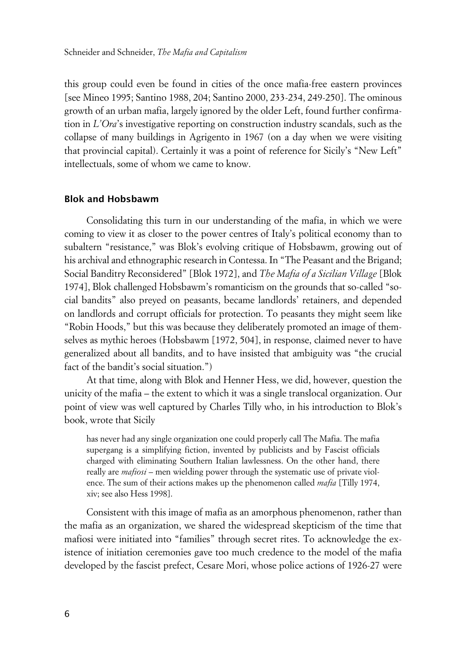this group could even be found in cities of the once mafia-free eastern provinces [see Mineo 1995; Santino 1988, 204; Santino 2000, 233-234, 249-250]. The ominous growth of an urban mafia, largely ignored by the older Left, found further confirmation in *L'Ora*'s investigative reporting on construction industry scandals, such as the collapse of many buildings in Agrigento in 1967 (on a day when we were visiting that provincial capital). Certainly it was a point of reference for Sicily's "New Left" intellectuals, some of whom we came to know.

## **xBlok and Hobsbawm**

Consolidating this turn in our understanding of the mafia, in which we were coming to view it as closer to the power centres of Italy's political economy than to subaltern "resistance," was Blok's evolving critique of Hobsbawm, growing out of his archival and ethnographic research in Contessa. In "The Peasant and the Brigand; Social Banditry Reconsidered" [Blok 1972], and *The Mafia of a Sicilian Village* [Blok 1974], Blok challenged Hobsbawm's romanticism on the grounds that so-called "social bandits" also preyed on peasants, became landlords' retainers, and depended on landlords and corrupt officials for protection. To peasants they might seem like "Robin Hoods," but this was because they deliberately promoted an image of themselves as mythic heroes (Hobsbawm [1972, 504], in response, claimed never to have generalized about all bandits, and to have insisted that ambiguity was "the crucial fact of the bandit's social situation.")

At that time, along with Blok and Henner Hess, we did, however, question the unicity of the mafia – the extent to which it was a single translocal organization. Our point of view was well captured by Charles Tilly who, in his introduction to Blok's book, wrote that Sicily

has never had any single organization one could properly call The Mafia. The mafia supergang is a simplifying fiction, invented by publicists and by Fascist officials charged with eliminating Southern Italian lawlessness. On the other hand, there really are *mafiosi* – men wielding power through the systematic use of private violence. The sum of their actions makes up the phenomenon called *mafia* [Tilly 1974, xiv; see also Hess 1998].

Consistent with this image of mafia as an amorphous phenomenon, rather than the mafia as an organization, we shared the widespread skepticism of the time that mafiosi were initiated into "families" through secret rites. To acknowledge the existence of initiation ceremonies gave too much credence to the model of the mafia developed by the fascist prefect, Cesare Mori, whose police actions of 1926-27 were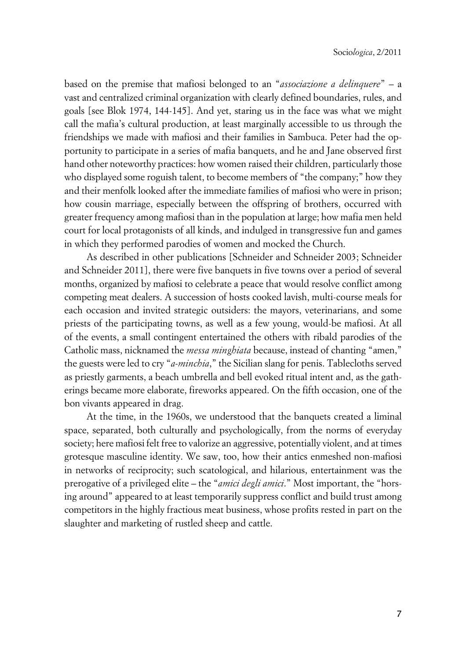based on the premise that mafiosi belonged to an "*associazione a delinquere*" – a vast and centralized criminal organization with clearly defined boundaries, rules, and goals [see Blok 1974, 144-145]. And yet, staring us in the face was what we might call the mafia's cultural production, at least marginally accessible to us through the friendships we made with mafiosi and their families in Sambuca. Peter had the opportunity to participate in a series of mafia banquets, and he and Jane observed first hand other noteworthy practices: how women raised their children, particularly those who displayed some roguish talent, to become members of "the company;" how they and their menfolk looked after the immediate families of mafiosi who were in prison; how cousin marriage, especially between the offspring of brothers, occurred with greater frequency among mafiosi than in the population at large; how mafia men held court for local protagonists of all kinds, and indulged in transgressive fun and games in which they performed parodies of women and mocked the Church.

As described in other publications [Schneider and Schneider 2003; Schneider and Schneider 2011], there were five banquets in five towns over a period of several months, organized by mafiosi to celebrate a peace that would resolve conflict among competing meat dealers. A succession of hosts cooked lavish, multi-course meals for each occasion and invited strategic outsiders: the mayors, veterinarians, and some priests of the participating towns, as well as a few young, would-be mafiosi. At all of the events, a small contingent entertained the others with ribald parodies of the Catholic mass, nicknamed the *messa minghiata* because, instead of chanting "amen," the guests were led to cry "*a-minchia*," the Sicilian slang for penis. Tablecloths served as priestly garments, a beach umbrella and bell evoked ritual intent and, as the gatherings became more elaborate, fireworks appeared. On the fifth occasion, one of the bon vivants appeared in drag.

At the time, in the 1960s, we understood that the banquets created a liminal space, separated, both culturally and psychologically, from the norms of everyday society; here mafiosi felt free to valorize an aggressive, potentially violent, and at times grotesque masculine identity. We saw, too, how their antics enmeshed non-mafiosi in networks of reciprocity; such scatological, and hilarious, entertainment was the prerogative of a privileged elite – the "*amici degli amici*." Most important, the "horsing around" appeared to at least temporarily suppress conflict and build trust among competitors in the highly fractious meat business, whose profits rested in part on the slaughter and marketing of rustled sheep and cattle.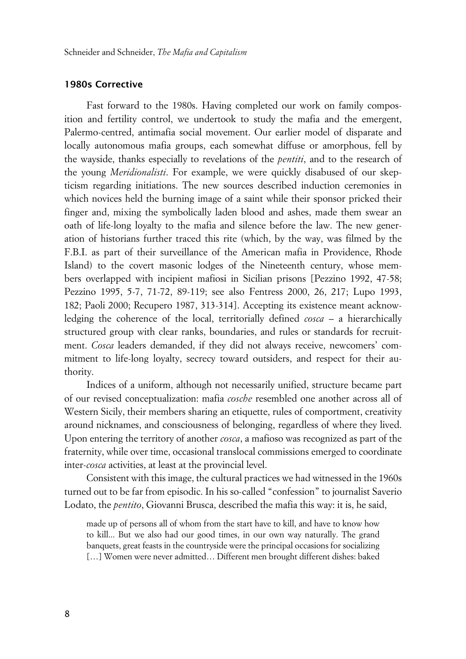## **x1980s Corrective**

Fast forward to the 1980s. Having completed our work on family composition and fertility control, we undertook to study the mafia and the emergent, Palermo-centred, antimafia social movement. Our earlier model of disparate and locally autonomous mafia groups, each somewhat diffuse or amorphous, fell by the wayside, thanks especially to revelations of the *pentiti*, and to the research of the young *Meridionalisti*. For example, we were quickly disabused of our skepticism regarding initiations. The new sources described induction ceremonies in which novices held the burning image of a saint while their sponsor pricked their finger and, mixing the symbolically laden blood and ashes, made them swear an oath of life-long loyalty to the mafia and silence before the law. The new generation of historians further traced this rite (which, by the way, was filmed by the F.B.I. as part of their surveillance of the American mafia in Providence, Rhode Island) to the covert masonic lodges of the Nineteenth century, whose members overlapped with incipient mafiosi in Sicilian prisons [Pezzino 1992, 47-58; Pezzino 1995, 5-7, 71-72, 89-119; see also Fentress 2000, 26, 217; Lupo 1993, 182; Paoli 2000; Recupero 1987, 313-314]. Accepting its existence meant acknowledging the coherence of the local, territorially defined *cosca* – a hierarchically structured group with clear ranks, boundaries, and rules or standards for recruitment. *Cosca* leaders demanded, if they did not always receive, newcomers' commitment to life-long loyalty, secrecy toward outsiders, and respect for their authority.

Indices of a uniform, although not necessarily unified, structure became part of our revised conceptualization: mafia *cosche* resembled one another across all of Western Sicily, their members sharing an etiquette, rules of comportment, creativity around nicknames, and consciousness of belonging, regardless of where they lived. Upon entering the territory of another *cosca*, a mafioso was recognized as part of the fraternity, while over time, occasional translocal commissions emerged to coordinate inter-*cosca* activities, at least at the provincial level.

Consistent with this image, the cultural practices we had witnessed in the 1960s turned out to be far from episodic. In his so-called "confession" to journalist Saverio Lodato, the *pentito*, Giovanni Brusca, described the mafia this way: it is, he said,

made up of persons all of whom from the start have to kill, and have to know how to kill... But we also had our good times, in our own way naturally. The grand banquets, great feasts in the countryside were the principal occasions for socializing [...] Women were never admitted... Different men brought different dishes: baked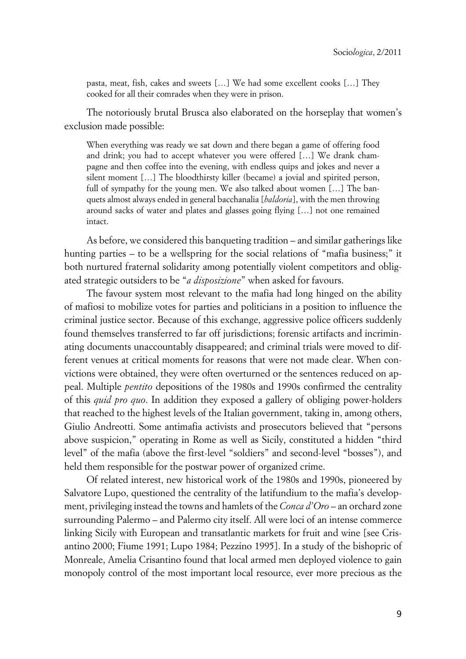pasta, meat, fish, cakes and sweets […] We had some excellent cooks […] They cooked for all their comrades when they were in prison.

The notoriously brutal Brusca also elaborated on the horseplay that women's exclusion made possible:

When everything was ready we sat down and there began a game of offering food and drink; you had to accept whatever you were offered […] We drank champagne and then coffee into the evening, with endless quips and jokes and never a silent moment […] The bloodthirsty killer (became) a jovial and spirited person, full of sympathy for the young men. We also talked about women [...] The banquets almost always ended in general bacchanalia [*baldoria*], with the men throwing around sacks of water and plates and glasses going flying […] not one remained intact.

As before, we considered this banqueting tradition – and similar gatherings like hunting parties – to be a wellspring for the social relations of "mafia business;" it both nurtured fraternal solidarity among potentially violent competitors and obligated strategic outsiders to be "*a disposizione*" when asked for favours.

The favour system most relevant to the mafia had long hinged on the ability of mafiosi to mobilize votes for parties and politicians in a position to influence the criminal justice sector. Because of this exchange, aggressive police officers suddenly found themselves transferred to far off jurisdictions; forensic artifacts and incriminating documents unaccountably disappeared; and criminal trials were moved to different venues at critical moments for reasons that were not made clear. When convictions were obtained, they were often overturned or the sentences reduced on appeal. Multiple *pentito* depositions of the 1980s and 1990s confirmed the centrality of this *quid pro quo*. In addition they exposed a gallery of obliging power-holders that reached to the highest levels of the Italian government, taking in, among others, Giulio Andreotti. Some antimafia activists and prosecutors believed that "persons above suspicion," operating in Rome as well as Sicily, constituted a hidden "third level" of the mafia (above the first-level "soldiers" and second-level "bosses"), and held them responsible for the postwar power of organized crime.

Of related interest, new historical work of the 1980s and 1990s, pioneered by Salvatore Lupo, questioned the centrality of the latifundium to the mafia's development, privileging instead the towns and hamlets of the *Conca d'Oro* – an orchard zone surrounding Palermo – and Palermo city itself. All were loci of an intense commerce linking Sicily with European and transatlantic markets for fruit and wine [see Crisantino 2000; Fiume 1991; Lupo 1984; Pezzino 1995]. In a study of the bishopric of Monreale, Amelia Crisantino found that local armed men deployed violence to gain monopoly control of the most important local resource, ever more precious as the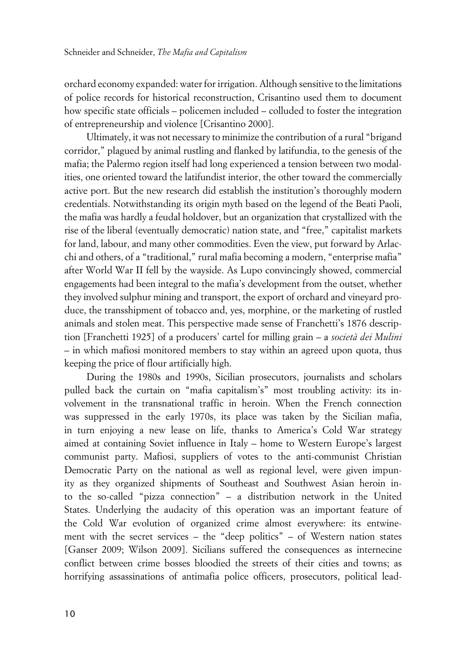orchard economy expanded: water for irrigation. Although sensitive to the limitations of police records for historical reconstruction, Crisantino used them to document how specific state officials – policemen included – colluded to foster the integration of entrepreneurship and violence [Crisantino 2000].

Ultimately, it was not necessary to minimize the contribution of a rural "brigand corridor," plagued by animal rustling and flanked by latifundia, to the genesis of the mafia; the Palermo region itself had long experienced a tension between two modalities, one oriented toward the latifundist interior, the other toward the commercially active port. But the new research did establish the institution's thoroughly modern credentials. Notwithstanding its origin myth based on the legend of the Beati Paoli, the mafia was hardly a feudal holdover, but an organization that crystallized with the rise of the liberal (eventually democratic) nation state, and "free," capitalist markets for land, labour, and many other commodities. Even the view, put forward by Arlacchi and others, of a "traditional," rural mafia becoming a modern, "enterprise mafia" after World War II fell by the wayside. As Lupo convincingly showed, commercial engagements had been integral to the mafia's development from the outset, whether they involved sulphur mining and transport, the export of orchard and vineyard produce, the transshipment of tobacco and, yes, morphine, or the marketing of rustled animals and stolen meat. This perspective made sense of Franchetti's 1876 description [Franchetti 1925] of a producers' cartel for milling grain – a *società dei Mulini* – in which mafiosi monitored members to stay within an agreed upon quota, thus keeping the price of flour artificially high.

During the 1980s and 1990s, Sicilian prosecutors, journalists and scholars pulled back the curtain on "mafia capitalism's" most troubling activity: its involvement in the transnational traffic in heroin. When the French connection was suppressed in the early 1970s, its place was taken by the Sicilian mafia, in turn enjoying a new lease on life, thanks to America's Cold War strategy aimed at containing Soviet influence in Italy – home to Western Europe's largest communist party. Mafiosi, suppliers of votes to the anti-communist Christian Democratic Party on the national as well as regional level, were given impunity as they organized shipments of Southeast and Southwest Asian heroin into the so-called "pizza connection" – a distribution network in the United States. Underlying the audacity of this operation was an important feature of the Cold War evolution of organized crime almost everywhere: its entwinement with the secret services – the "deep politics" – of Western nation states [Ganser 2009; Wilson 2009]. Sicilians suffered the consequences as internecine conflict between crime bosses bloodied the streets of their cities and towns; as horrifying assassinations of antimafia police officers, prosecutors, political lead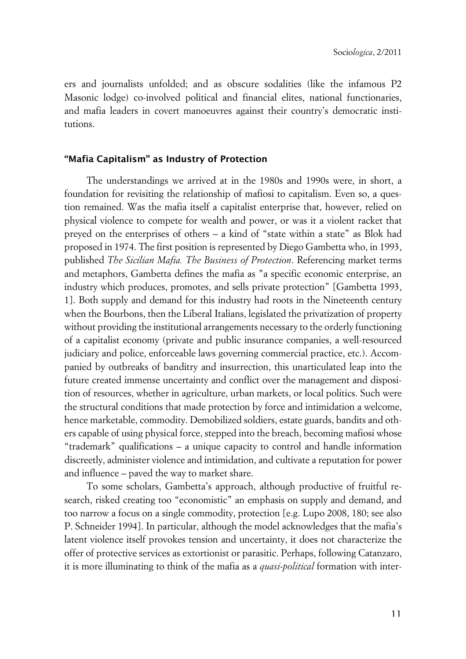ers and journalists unfolded; and as obscure sodalities (like the infamous P2 Masonic lodge) co-involved political and financial elites, national functionaries, and mafia leaders in covert manoeuvres against their country's democratic institutions.

## **x"Mafia Capitalism" as Industry of Protection**

The understandings we arrived at in the 1980s and 1990s were, in short, a foundation for revisiting the relationship of mafiosi to capitalism. Even so, a question remained. Was the mafia itself a capitalist enterprise that, however, relied on physical violence to compete for wealth and power, or was it a violent racket that preyed on the enterprises of others – a kind of "state within a state" as Blok had proposed in 1974. The first position is represented by Diego Gambetta who, in 1993, published *The Sicilian Mafia. The Business of Protection*. Referencing market terms and metaphors, Gambetta defines the mafia as "a specific economic enterprise, an industry which produces, promotes, and sells private protection" [Gambetta 1993, 1]. Both supply and demand for this industry had roots in the Nineteenth century when the Bourbons, then the Liberal Italians, legislated the privatization of property without providing the institutional arrangements necessary to the orderly functioning of a capitalist economy (private and public insurance companies, a well-resourced judiciary and police, enforceable laws governing commercial practice, etc.). Accompanied by outbreaks of banditry and insurrection, this unarticulated leap into the future created immense uncertainty and conflict over the management and disposition of resources, whether in agriculture, urban markets, or local politics. Such were the structural conditions that made protection by force and intimidation a welcome, hence marketable, commodity. Demobilized soldiers, estate guards, bandits and others capable of using physical force, stepped into the breach, becoming mafiosi whose "trademark" qualifications – a unique capacity to control and handle information discreetly, administer violence and intimidation, and cultivate a reputation for power and influence – paved the way to market share.

To some scholars, Gambetta's approach, although productive of fruitful research, risked creating too "economistic" an emphasis on supply and demand, and too narrow a focus on a single commodity, protection [e.g. Lupo 2008, 180; see also P. Schneider 1994]. In particular, although the model acknowledges that the mafia's latent violence itself provokes tension and uncertainty, it does not characterize the offer of protective services as extortionist or parasitic. Perhaps, following Catanzaro, it is more illuminating to think of the mafia as a *quasi-political* formation with inter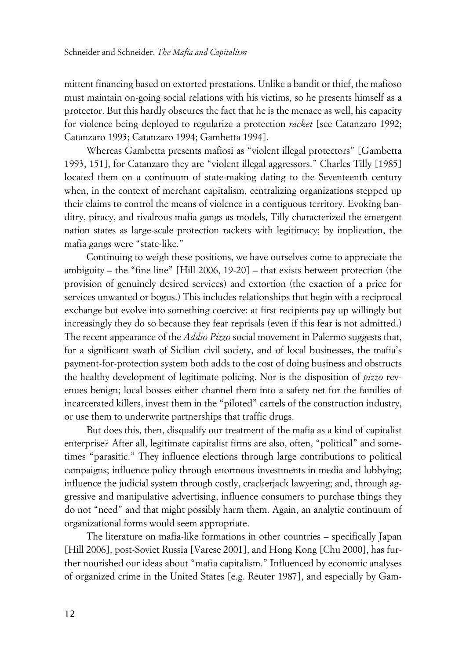mittent financing based on extorted prestations. Unlike a bandit or thief, the mafioso must maintain on-going social relations with his victims, so he presents himself as a protector. But this hardly obscures the fact that he is the menace as well, his capacity for violence being deployed to regularize a protection *racket* [see Catanzaro 1992; Catanzaro 1993; Catanzaro 1994; Gambetta 1994].

Whereas Gambetta presents mafiosi as "violent illegal protectors" [Gambetta 1993, 151], for Catanzaro they are "violent illegal aggressors." Charles Tilly [1985] located them on a continuum of state-making dating to the Seventeenth century when, in the context of merchant capitalism, centralizing organizations stepped up their claims to control the means of violence in a contiguous territory. Evoking banditry, piracy, and rivalrous mafia gangs as models, Tilly characterized the emergent nation states as large-scale protection rackets with legitimacy; by implication, the mafia gangs were "state-like."

Continuing to weigh these positions, we have ourselves come to appreciate the ambiguity – the "fine line" [Hill 2006, 19-20] – that exists between protection (the provision of genuinely desired services) and extortion (the exaction of a price for services unwanted or bogus.) This includes relationships that begin with a reciprocal exchange but evolve into something coercive: at first recipients pay up willingly but increasingly they do so because they fear reprisals (even if this fear is not admitted.) The recent appearance of the *Addio Pizzo* social movement in Palermo suggests that, for a significant swath of Sicilian civil society, and of local businesses, the mafia's payment-for-protection system both adds to the cost of doing business and obstructs the healthy development of legitimate policing. Nor is the disposition of *pizzo* revenues benign; local bosses either channel them into a safety net for the families of incarcerated killers, invest them in the "piloted" cartels of the construction industry, or use them to underwrite partnerships that traffic drugs.

But does this, then, disqualify our treatment of the mafia as a kind of capitalist enterprise? After all, legitimate capitalist firms are also, often, "political" and sometimes "parasitic." They influence elections through large contributions to political campaigns; influence policy through enormous investments in media and lobbying; influence the judicial system through costly, crackerjack lawyering; and, through aggressive and manipulative advertising, influence consumers to purchase things they do not "need" and that might possibly harm them. Again, an analytic continuum of organizational forms would seem appropriate.

The literature on mafia-like formations in other countries – specifically Japan [Hill 2006], post-Soviet Russia [Varese 2001], and Hong Kong [Chu 2000], has further nourished our ideas about "mafia capitalism." Influenced by economic analyses of organized crime in the United States [e.g. Reuter 1987], and especially by Gam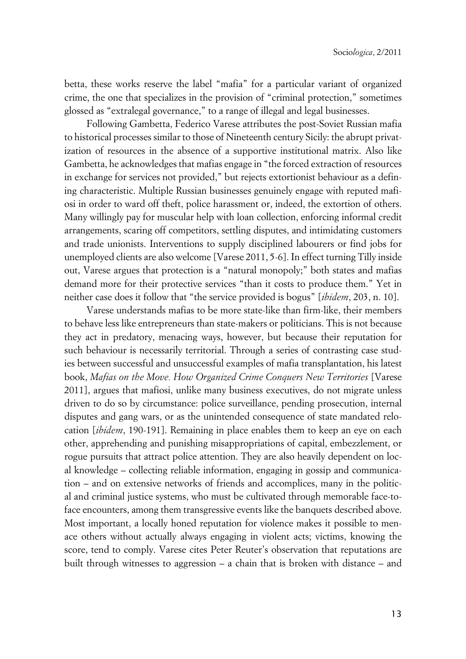betta, these works reserve the label "mafia" for a particular variant of organized crime, the one that specializes in the provision of "criminal protection," sometimes glossed as "extralegal governance," to a range of illegal and legal businesses.

Following Gambetta, Federico Varese attributes the post-Soviet Russian mafia to historical processes similar to those of Nineteenth century Sicily: the abrupt privatization of resources in the absence of a supportive institutional matrix. Also like Gambetta, he acknowledges that mafias engage in "the forced extraction of resources in exchange for services not provided," but rejects extortionist behaviour as a defining characteristic. Multiple Russian businesses genuinely engage with reputed mafiosi in order to ward off theft, police harassment or, indeed, the extortion of others. Many willingly pay for muscular help with loan collection, enforcing informal credit arrangements, scaring off competitors, settling disputes, and intimidating customers and trade unionists. Interventions to supply disciplined labourers or find jobs for unemployed clients are also welcome [Varese 2011, 5-6]. In effect turning Tilly inside out, Varese argues that protection is a "natural monopoly;" both states and mafias demand more for their protective services "than it costs to produce them." Yet in neither case does it follow that "the service provided is bogus" [*ibidem*, 203, n. 10].

Varese understands mafias to be more state-like than firm-like, their members to behave less like entrepreneurs than state-makers or politicians. This is not because they act in predatory, menacing ways, however, but because their reputation for such behaviour is necessarily territorial. Through a series of contrasting case studies between successful and unsuccessful examples of mafia transplantation, his latest book, *Mafias on the Move. How Organized Crime Conquers New Territories* [Varese 2011], argues that mafiosi, unlike many business executives, do not migrate unless driven to do so by circumstance: police surveillance, pending prosecution, internal disputes and gang wars, or as the unintended consequence of state mandated relocation [*ibidem*, 190-191]. Remaining in place enables them to keep an eye on each other, apprehending and punishing misappropriations of capital, embezzlement, or rogue pursuits that attract police attention. They are also heavily dependent on local knowledge – collecting reliable information, engaging in gossip and communication – and on extensive networks of friends and accomplices, many in the political and criminal justice systems, who must be cultivated through memorable face-toface encounters, among them transgressive events like the banquets described above. Most important, a locally honed reputation for violence makes it possible to menace others without actually always engaging in violent acts; victims, knowing the score, tend to comply. Varese cites Peter Reuter's observation that reputations are built through witnesses to aggression – a chain that is broken with distance – and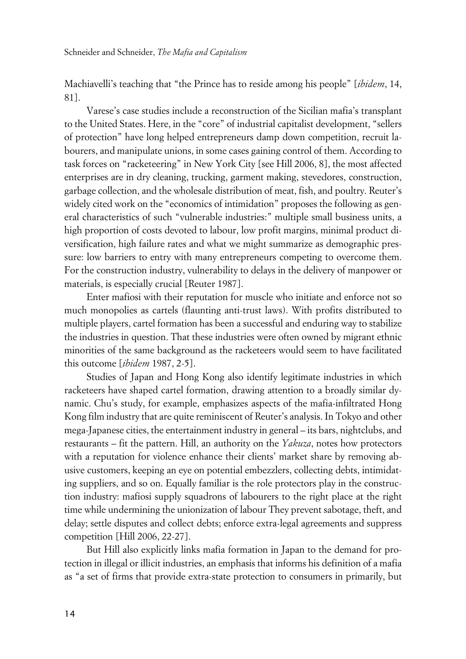Machiavelli's teaching that "the Prince has to reside among his people" [*ibidem*, 14, 81].

Varese's case studies include a reconstruction of the Sicilian mafia's transplant to the United States. Here, in the "core" of industrial capitalist development, "sellers of protection" have long helped entrepreneurs damp down competition, recruit labourers, and manipulate unions, in some cases gaining control of them. According to task forces on "racketeering" in New York City [see Hill 2006, 8], the most affected enterprises are in dry cleaning, trucking, garment making, stevedores, construction, garbage collection, and the wholesale distribution of meat, fish, and poultry. Reuter's widely cited work on the "economics of intimidation" proposes the following as general characteristics of such "vulnerable industries:" multiple small business units, a high proportion of costs devoted to labour, low profit margins, minimal product diversification, high failure rates and what we might summarize as demographic pressure: low barriers to entry with many entrepreneurs competing to overcome them. For the construction industry, vulnerability to delays in the delivery of manpower or materials, is especially crucial [Reuter 1987].

Enter mafiosi with their reputation for muscle who initiate and enforce not so much monopolies as cartels (flaunting anti-trust laws). With profits distributed to multiple players, cartel formation has been a successful and enduring way to stabilize the industries in question. That these industries were often owned by migrant ethnic minorities of the same background as the racketeers would seem to have facilitated this outcome [*ibidem* 1987, 2-5].

Studies of Japan and Hong Kong also identify legitimate industries in which racketeers have shaped cartel formation, drawing attention to a broadly similar dynamic. Chu's study, for example, emphasizes aspects of the mafia-infiltrated Hong Kong film industry that are quite reminiscent of Reuter's analysis. In Tokyo and other mega-Japanese cities, the entertainment industry in general – its bars, nightclubs, and restaurants – fit the pattern. Hill, an authority on the *Yakuza*, notes how protectors with a reputation for violence enhance their clients' market share by removing abusive customers, keeping an eye on potential embezzlers, collecting debts, intimidating suppliers, and so on. Equally familiar is the role protectors play in the construction industry: mafiosi supply squadrons of labourers to the right place at the right time while undermining the unionization of labour They prevent sabotage, theft, and delay; settle disputes and collect debts; enforce extra-legal agreements and suppress competition [Hill 2006, 22-27].

But Hill also explicitly links mafia formation in Japan to the demand for protection in illegal or illicit industries, an emphasis that informs his definition of a mafia as "a set of firms that provide extra-state protection to consumers in primarily, but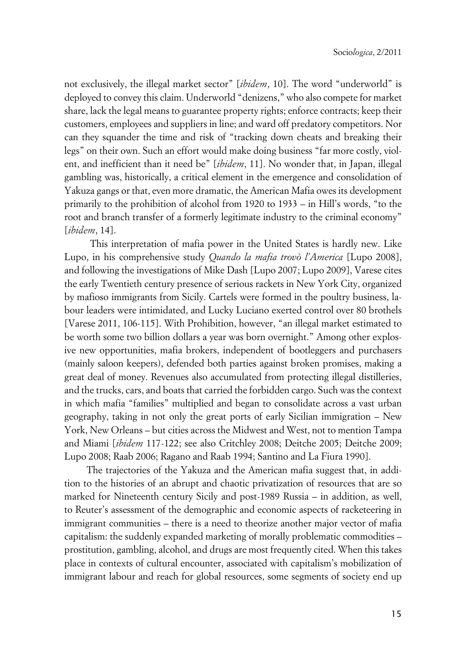not exclusively, the illegal market sector" [*ibidem*, 10]. The word "underworld" is deployed to convey this claim. Underworld "denizens," who also compete for market share, lack the legal means to guarantee property rights; enforce contracts; keep their customers, employees and suppliers in line; and ward off predatory competitors. Nor can they squander the time and risk of "tracking down cheats and breaking their legs" on their own. Such an effort would make doing business "far more costly, violent, and inefficient than it need be" [*ibidem*, 11]. No wonder that, in Japan, illegal gambling was, historically, a critical element in the emergence and consolidation of Yakuza gangs or that, even more dramatic, the American Mafia owes its development primarily to the prohibition of alcohol from 1920 to 1933 – in Hill's words, "to the root and branch transfer of a formerly legitimate industry to the criminal economy" [*ibidem*, 14].

 This interpretation of mafia power in the United States is hardly new. Like Lupo, in his comprehensive study *Quando la mafia trovò l'America* [Lupo 2008], and following the investigations of Mike Dash [Lupo 2007; Lupo 2009], Varese cites the early Twentieth century presence of serious rackets in New York City, organized by mafioso immigrants from Sicily. Cartels were formed in the poultry business, labour leaders were intimidated, and Lucky Luciano exerted control over 80 brothels [Varese 2011, 106-115]. With Prohibition, however, "an illegal market estimated to be worth some two billion dollars a year was born overnight." Among other explosive new opportunities, mafia brokers, independent of bootleggers and purchasers (mainly saloon keepers), defended both parties against broken promises, making a great deal of money. Revenues also accumulated from protecting illegal distilleries, and the trucks, cars, and boats that carried the forbidden cargo. Such was the context in which mafia "families" multiplied and began to consolidate across a vast urban geography, taking in not only the great ports of early Sicilian immigration – New York, New Orleans – but cities across the Midwest and West, not to mention Tampa and Miami [*ibidem* 117-122; see also Critchley 2008; Deitche 2005; Deitche 2009; Lupo 2008; Raab 2006; Ragano and Raab 1994; Santino and La Fiura 1990].

The trajectories of the Yakuza and the American mafia suggest that, in addition to the histories of an abrupt and chaotic privatization of resources that are so marked for Nineteenth century Sicily and post-1989 Russia – in addition, as well, to Reuter's assessment of the demographic and economic aspects of racketeering in immigrant communities – there is a need to theorize another major vector of mafia capitalism: the suddenly expanded marketing of morally problematic commodities – prostitution, gambling, alcohol, and drugs are most frequently cited. When this takes place in contexts of cultural encounter, associated with capitalism's mobilization of immigrant labour and reach for global resources, some segments of society end up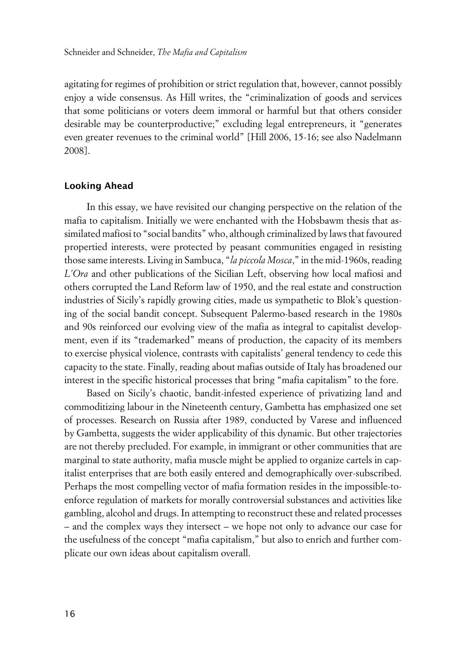agitating for regimes of prohibition or strict regulation that, however, cannot possibly enjoy a wide consensus. As Hill writes, the "criminalization of goods and services that some politicians or voters deem immoral or harmful but that others consider desirable may be counterproductive;" excluding legal entrepreneurs, it "generates even greater revenues to the criminal world" [Hill 2006, 15-16; see also Nadelmann 2008].

## **xLooking Ahead**

In this essay, we have revisited our changing perspective on the relation of the mafia to capitalism. Initially we were enchanted with the Hobsbawm thesis that assimilated mafiosi to "social bandits" who, although criminalized by laws that favoured propertied interests, were protected by peasant communities engaged in resisting those same interests. Living in Sambuca, "*la piccola Mosca*," in the mid-1960s, reading *L'Ora* and other publications of the Sicilian Left, observing how local mafiosi and others corrupted the Land Reform law of 1950, and the real estate and construction industries of Sicily's rapidly growing cities, made us sympathetic to Blok's questioning of the social bandit concept. Subsequent Palermo-based research in the 1980s and 90s reinforced our evolving view of the mafia as integral to capitalist development, even if its "trademarked" means of production, the capacity of its members to exercise physical violence, contrasts with capitalists' general tendency to cede this capacity to the state. Finally, reading about mafias outside of Italy has broadened our interest in the specific historical processes that bring "mafia capitalism" to the fore.

Based on Sicily's chaotic, bandit-infested experience of privatizing land and commoditizing labour in the Nineteenth century, Gambetta has emphasized one set of processes. Research on Russia after 1989, conducted by Varese and influenced by Gambetta, suggests the wider applicability of this dynamic. But other trajectories are not thereby precluded. For example, in immigrant or other communities that are marginal to state authority, mafia muscle might be applied to organize cartels in capitalist enterprises that are both easily entered and demographically over-subscribed. Perhaps the most compelling vector of mafia formation resides in the impossible-toenforce regulation of markets for morally controversial substances and activities like gambling, alcohol and drugs. In attempting to reconstruct these and related processes – and the complex ways they intersect – we hope not only to advance our case for the usefulness of the concept "mafia capitalism," but also to enrich and further complicate our own ideas about capitalism overall.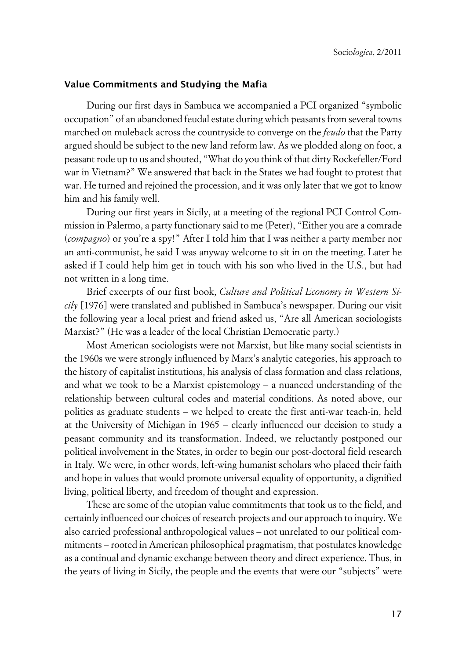## **xValue Commitments and Studying the Mafia**

During our first days in Sambuca we accompanied a PCI organized "symbolic occupation" of an abandoned feudal estate during which peasants from several towns marched on muleback across the countryside to converge on the *feudo* that the Party argued should be subject to the new land reform law. As we plodded along on foot, a peasant rode up to us and shouted, "What do you think of that dirty Rockefeller/Ford war in Vietnam?" We answered that back in the States we had fought to protest that war. He turned and rejoined the procession, and it was only later that we got to know him and his family well.

During our first years in Sicily, at a meeting of the regional PCI Control Commission in Palermo, a party functionary said to me (Peter), "Either you are a comrade (*compagno*) or you're a spy!" After I told him that I was neither a party member nor an anti-communist, he said I was anyway welcome to sit in on the meeting. Later he asked if I could help him get in touch with his son who lived in the U.S., but had not written in a long time.

Brief excerpts of our first book, *Culture and Political Economy in Western Sicily* [1976] were translated and published in Sambuca's newspaper. During our visit the following year a local priest and friend asked us, "Are all American sociologists Marxist?" (He was a leader of the local Christian Democratic party.)

Most American sociologists were not Marxist, but like many social scientists in the 1960s we were strongly influenced by Marx's analytic categories, his approach to the history of capitalist institutions, his analysis of class formation and class relations, and what we took to be a Marxist epistemology – a nuanced understanding of the relationship between cultural codes and material conditions. As noted above, our politics as graduate students – we helped to create the first anti-war teach-in, held at the University of Michigan in 1965 – clearly influenced our decision to study a peasant community and its transformation. Indeed, we reluctantly postponed our political involvement in the States, in order to begin our post-doctoral field research in Italy. We were, in other words, left-wing humanist scholars who placed their faith and hope in values that would promote universal equality of opportunity, a dignified living, political liberty, and freedom of thought and expression.

These are some of the utopian value commitments that took us to the field, and certainly influenced our choices of research projects and our approach to inquiry. We also carried professional anthropological values – not unrelated to our political commitments – rooted in American philosophical pragmatism, that postulates knowledge as a continual and dynamic exchange between theory and direct experience. Thus, in the years of living in Sicily, the people and the events that were our "subjects" were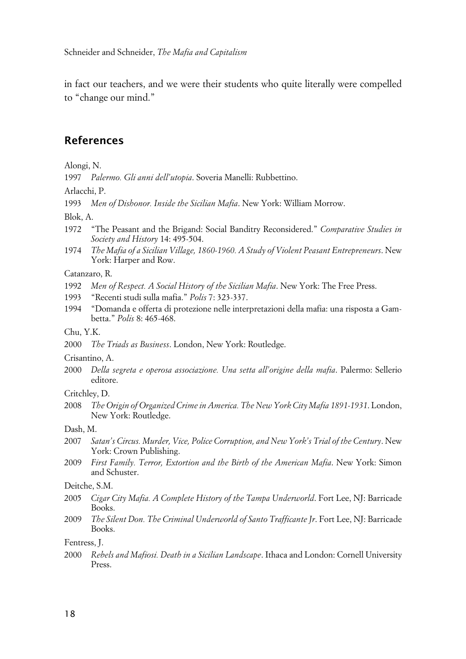in fact our teachers, and we were their students who quite literally were compelled to "change our mind."

## **References**

Alongi, N.

1997 *Palermo. Gli anni dell'utopia*. Soveria Manelli: Rubbettino.

Arlacchi, P.

1993 *Men of Dishonor. Inside the Sicilian Mafia*. New York: William Morrow.

Blok, A.

- 1972 "The Peasant and the Brigand: Social Banditry Reconsidered." *Comparative Studies in Society and History* 14: 495-504.
- 1974 *The Mafia of a Sicilian Village, 1860-1960. A Study of Violent Peasant Entrepreneurs*. New York: Harper and Row.

#### Catanzaro, R.

- 1992 *Men of Respect. A Social History of the Sicilian Mafia*. New York: The Free Press.
- 1993 "Recenti studi sulla mafia." *Polis* 7: 323-337.
- 1994 "Domanda e offerta di protezione nelle interpretazioni della mafia: una risposta a Gambetta." *Polis* 8: 465-468.

### Chu, Y.K.

2000 *The Triads as Business*. London, New York: Routledge.

Crisantino, A.

2000 *Della segreta e operosa associazione. Una setta all'origine della mafia*. Palermo: Sellerio editore.

## Critchley, D.

2008 *The Origin of Organized Crime in America. The New York City Mafia 1891-1931*. London, New York: Routledge.

#### Dash, M.

- 2007 *Satan's Circus. Murder, Vice, Police Corruption, and New York's Trial of the Century*. New York: Crown Publishing.
- 2009 *First Family. Terror, Extortion and the Birth of the American Mafia*. New York: Simon and Schuster.

## Deitche, S.M.

- 2005 *Cigar City Mafia. A Complete History of the Tampa Underworld*. Fort Lee, NJ: Barricade Books.
- 2009 *The Silent Don. The Criminal Underworld of Santo Trafficante Jr*. Fort Lee, NJ: Barricade Books.

Fentress, J.

2000 *Rebels and Mafiosi. Death in a Sicilian Landscape*. Ithaca and London: Cornell University Press.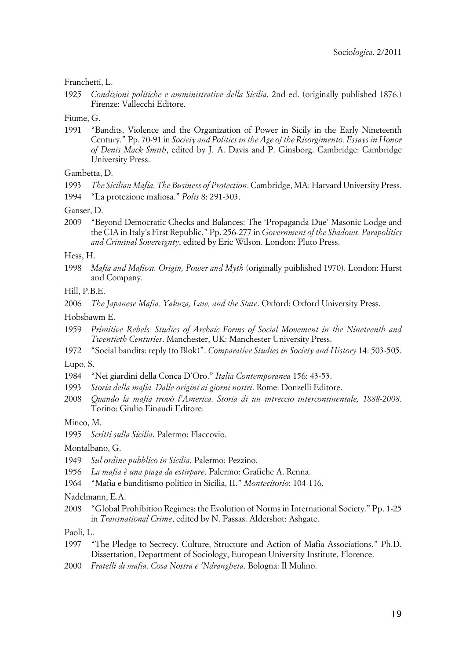Franchetti, L.

1925 *Condizioni politiche e amministrative della Sicilia*. 2nd ed. (originally published 1876.) Firenze: Vallecchi Editore.

Fiume, G.

1991 "Bandits, Violence and the Organization of Power in Sicily in the Early Nineteenth Century." Pp. 70-91 in *Society and Politics in the Age of the Risorgimento. Essays in Honor of Denis Mack Smith*, edited by J. A. Davis and P. Ginsborg. Cambridge: Cambridge University Press.

Gambetta, D.

- 1993 *The Sicilian Mafia. The Business of Protection*. Cambridge, MA: Harvard University Press.
- 1994 "La protezione mafiosa." *Polis* 8: 291-303.

Ganser, D.

2009 "Beyond Democratic Checks and Balances: The 'Propaganda Due' Masonic Lodge and the CIA in Italy's First Republic," Pp. 256-277 in *Government of the Shadows. Parapolitics and Criminal Sovereignty*, edited by Eric Wilson. London: Pluto Press.

Hess, H.

1998 *Mafia and Mafiosi. Origin, Power and Myth* (originally puiblished 1970). London: Hurst and Company.

Hill, P.B.E.

2006 *The Japanese Mafia. Yakuza, Law, and the State*. Oxford: Oxford University Press.

Hobsbawm E.

- 1959 *Primitive Rebels: Studies of Archaic Forms of Social Movement in the Nineteenth and Twentieth Centuries*. Manchester, UK: Manchester University Press.
- 1972 "Social bandits: reply (to Blok)". *Comparative Studies in Society and History* 14: 503-505.

Lupo, S.

- 1984 "Nei giardini della Conca D'Oro." *Italia Contemporanea* 156: 43-53.
- 1993 *Storia della mafia. Dalle origini ai giorni nostri*. Rome: Donzelli Editore.
- 2008 *Quando la mafia trovò l'America. Storia di un intreccio intercontinentale, 1888-2008*. Torino: Giulio Einaudi Editore.

Mineo, M.

1995 *Scritti sulla Sicilia*. Palermo: Flaccovio.

Montalbano, G.

- 1949 *Sul ordine pubblico in Sicilia*. Palermo: Pezzino.
- 1956 *La mafia è una piaga da estirpare*. Palermo: Grafiche A. Renna.
- 1964 "Mafia e banditismo politico in Sicilia, II." *Montecitorio*: 104-116.

Nadelmann, E.A.

2008 "Global Prohibition Regimes: the Evolution of Norms in International Society." Pp. 1-25 in *Transnational Crime*, edited by N. Passas. Aldershot: Ashgate.

Paoli, L.

- 1997 "The Pledge to Secrecy. Culture, Structure and Action of Mafia Associations." Ph.D. Dissertation, Department of Sociology, European University Institute, Florence.
- 2000 *Fratelli di mafia. Cosa Nostra e 'Ndrangheta*. Bologna: Il Mulino.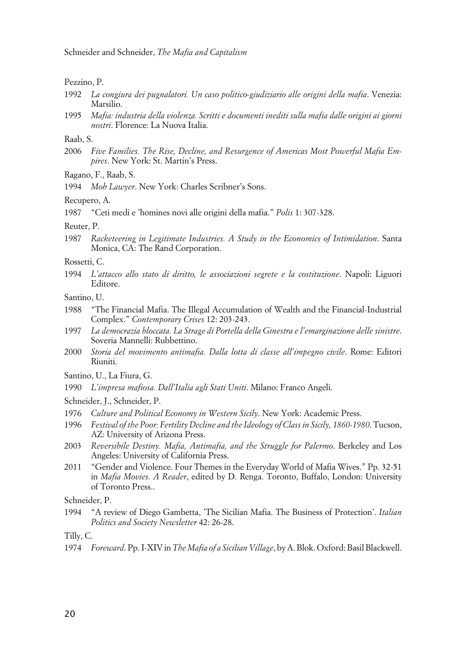Schneider and Schneider, *The Mafia and Capitalism*

#### Pezzino, P.

- 1992 *La congiura dei pugnalatori. Un caso politico-giudiziario alle origini della mafia*. Venezia: Marsilio.
- 1995 *Mafia: industria della violenza. Scritti e documenti inediti sulla mafia dalle origini ai giorni nostri*. Florence: La Nuova Italia.

## Raab, S.

2006 *Five Families. The Rise, Decline, and Resurgence of Americas Most Powerful Mafia Empires*. New York: St. Martin's Press.

Ragano, F., Raab, S.

1994 *Mob Lawyer*. New York: Charles Scribner's Sons.

Recupero, A.

1987 "Ceti medi e 'homines novi alle origini della mafia." *Polis* 1: 307-328.

### Reuter, P.

- 1987 *Racketeering in Legitimate Industries. A Study in the Economics of Intimidation*. Santa Monica, CA: The Rand Corporation.
- Rossetti, C.
- 1994 *L'attacco allo stato di diritto, le associazioni segrete e la costituzione*. Napoli: Liguori Editore.
- Santino, U.
- 1988 "The Financial Mafia. The Illegal Accumulation of Wealth and the Financial-Industrial Complex." *Contemporary Crises* 12: 203-243.
- 1997 *La democrazia bloccata. La Strage di Portella della Ginestra e l'emarginazione delle sinistre*. Soveria Mannelli: Rubbettino.
- 2000 *Storia del movimento antimafia. Dalla lotta di classe all'impegno civile*. Rome: Editori Riuniti.
- Santino, U., La Fiura, G.
- 1990 *L'impresa mafiosa. Dall'Italia agli Stati Uniti*. Milano: Franco Angeli.

Schneider, J., Schneider, P.

- 1976 *Culture and Political Economy in Western Sicily*. New York: Academic Press.
- 1996 *Festival of the Poor: Fertility Decline and the Ideology of Class in Sicily, 1860-1980*. Tucson, AZ: University of Arizona Press.
- 2003 *Reversibile Destiny. Mafia, Antimafia, and the Struggle for Palermo*. Berkeley and Los Angeles: University of California Press.
- 2011 "Gender and Violence. Four Themes in the Everyday World of Mafia Wives." Pp. 32-51 in *Mafia Movies. A Reader*, edited by D. Renga. Toronto, Buffalo, London: University of Toronto Press..

Schneider, P.

1994 "A review of Diego Gambetta, 'The Sicilian Mafia. The Business of Protection'. *Italian Politics and Society Newsletter* 42: 26-28.

Tilly, C.

1974 *Foreward*. Pp. I-XIV in *The Mafia of a Sicilian Village*, by A. Blok. Oxford: Basil Blackwell.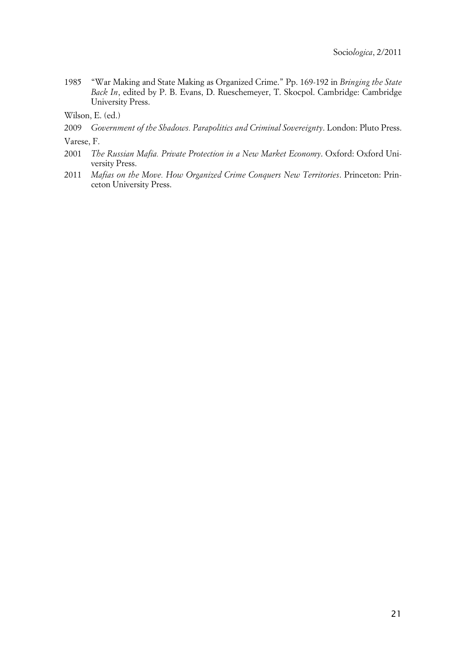1985 "War Making and State Making as Organized Crime." Pp. 169-192 in *Bringing the State Back In*, edited by P. B. Evans, D. Rueschemeyer, T. Skocpol. Cambridge: Cambridge University Press.

Wilson, E. (ed.)

2009 *Government of the Shadows. Parapolitics and Criminal Sovereignty*. London: Pluto Press.

Varese, F.

- 2001 *The Russian Mafia. Private Protection in a New Market Economy*. Oxford: Oxford University Press.
- 2011 *Mafias on the Move. How Organized Crime Conquers New Territories*. Princeton: Princeton University Press.